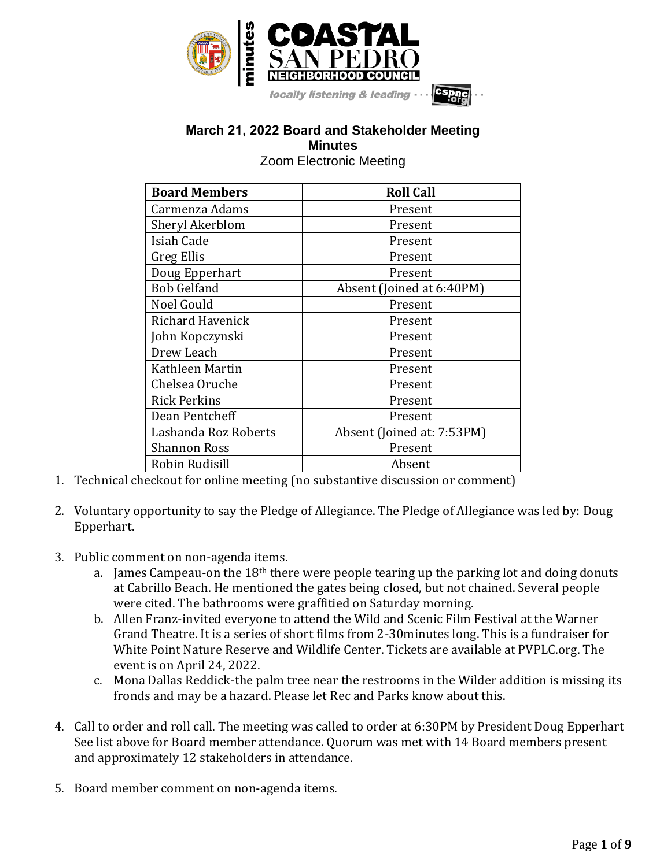

locally listening & leading

#### **March 21, 2022 Board and Stakeholder Meeting Minutes**

**\_\_\_\_\_\_\_\_\_\_\_\_\_\_\_\_\_\_\_\_\_\_\_\_\_\_\_\_\_\_\_\_\_\_\_\_\_\_\_\_\_\_\_\_\_\_\_\_\_\_\_\_\_\_\_\_\_\_\_\_\_\_\_\_\_\_\_\_\_\_\_\_\_\_\_\_\_\_\_\_\_\_\_\_\_\_\_\_\_\_\_\_\_\_\_\_\_\_\_\_\_\_\_\_\_\_\_\_\_\_\_\_\_**

Zoom Electronic Meeting

| <b>Board Members</b>    | <b>Roll Call</b>           |
|-------------------------|----------------------------|
| Carmenza Adams          | Present                    |
| Sheryl Akerblom         | Present                    |
| Isiah Cade              | Present                    |
| <b>Greg Ellis</b>       | Present                    |
| Doug Epperhart          | Present                    |
| <b>Bob Gelfand</b>      | Absent (Joined at 6:40PM)  |
| Noel Gould              | Present                    |
| <b>Richard Havenick</b> | Present                    |
| John Kopczynski         | Present                    |
| Drew Leach              | Present                    |
| Kathleen Martin         | Present                    |
| Chelsea Oruche          | Present                    |
| <b>Rick Perkins</b>     | Present                    |
| Dean Pentcheff          | Present                    |
| Lashanda Roz Roberts    | Absent (Joined at: 7:53PM) |
| Shannon Ross            | Present                    |
| Robin Rudisill          | Absent                     |

- 1. Technical checkout for online meeting (no substantive discussion or comment)
- 2. Voluntary opportunity to say the Pledge of Allegiance. The Pledge of Allegiance was led by: Doug Epperhart.
- 3. Public comment on non-agenda items.
	- a. James Campeau-on the  $18<sup>th</sup>$  there were people tearing up the parking lot and doing donuts at Cabrillo Beach. He mentioned the gates being closed, but not chained. Several people were cited. The bathrooms were graffitied on Saturday morning.
	- b. Allen Franz-invited everyone to attend the Wild and Scenic Film Festival at the Warner Grand Theatre. It is a series of short films from 2-30minutes long. This is a fundraiser for White Point Nature Reserve and Wildlife Center. Tickets are available at PVPLC.org. The event is on April 24, 2022.
	- c. Mona Dallas Reddick-the palm tree near the restrooms in the Wilder addition is missing its fronds and may be a hazard. Please let Rec and Parks know about this.
- 4. Call to order and roll call. The meeting was called to order at 6:30PM by President Doug Epperhart See list above for Board member attendance. Quorum was met with 14 Board members present and approximately 12 stakeholders in attendance.
- 5. Board member comment on non-agenda items.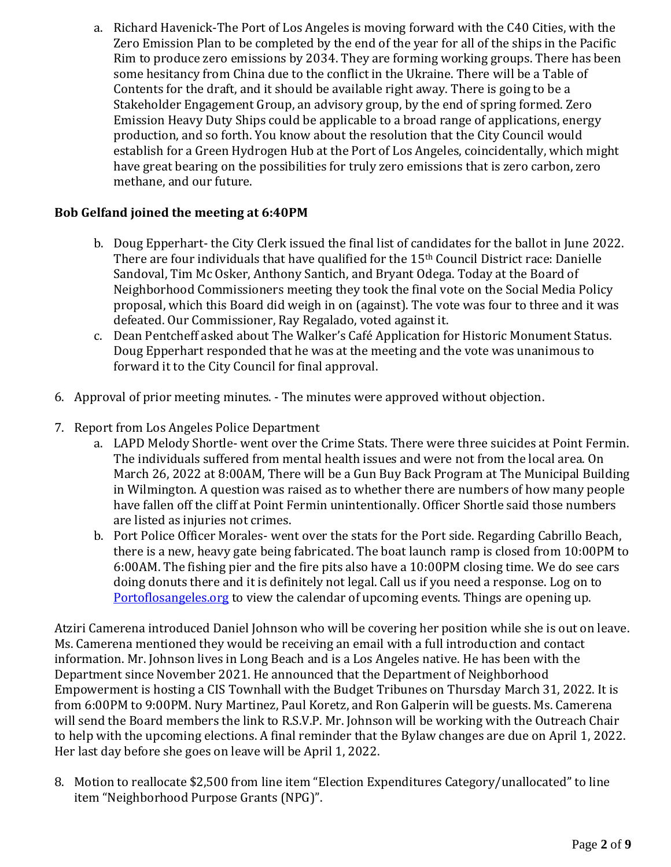a. Richard Havenick-The Port of Los Angeles is moving forward with the C40 Cities, with the Zero Emission Plan to be completed by the end of the year for all of the ships in the Pacific Rim to produce zero emissions by 2034. They are forming working groups. There has been some hesitancy from China due to the conflict in the Ukraine. There will be a Table of Contents for the draft, and it should be available right away. There is going to be a Stakeholder Engagement Group, an advisory group, by the end of spring formed. Zero Emission Heavy Duty Ships could be applicable to a broad range of applications, energy production, and so forth. You know about the resolution that the City Council would establish for a Green Hydrogen Hub at the Port of Los Angeles, coincidentally, which might have great bearing on the possibilities for truly zero emissions that is zero carbon, zero methane, and our future.

## **Bob Gelfand joined the meeting at 6:40PM**

- b. Doug Epperhart- the City Clerk issued the final list of candidates for the ballot in June 2022. There are four individuals that have qualified for the 15<sup>th</sup> Council District race: Danielle Sandoval, Tim Mc Osker, Anthony Santich, and Bryant Odega. Today at the Board of Neighborhood Commissioners meeting they took the final vote on the Social Media Policy proposal, which this Board did weigh in on (against). The vote was four to three and it was defeated. Our Commissioner, Ray Regalado, voted against it.
- c. Dean Pentcheff asked about The Walker's Café Application for Historic Monument Status. Doug Epperhart responded that he was at the meeting and the vote was unanimous to forward it to the City Council for final approval.
- 6. Approval of prior meeting minutes. The minutes were approved without objection.
- 7. Report from Los Angeles Police Department
	- a. LAPD Melody Shortle- went over the Crime Stats. There were three suicides at Point Fermin. The individuals suffered from mental health issues and were not from the local area. On March 26, 2022 at 8:00AM, There will be a Gun Buy Back Program at The Municipal Building in Wilmington. A question was raised as to whether there are numbers of how many people have fallen off the cliff at Point Fermin unintentionally. Officer Shortle said those numbers are listed as injuries not crimes.
	- b. Port Police Officer Morales- went over the stats for the Port side. Regarding Cabrillo Beach, there is a new, heavy gate being fabricated. The boat launch ramp is closed from 10:00PM to 6:00AM. The fishing pier and the fire pits also have a 10:00PM closing time. We do see cars doing donuts there and it is definitely not legal. Call us if you need a response. Log on to [Portoflosangeles.org](portoflosangeles.org) to view the calendar of upcoming events. Things are opening up.

Atziri Camerena introduced Daniel Johnson who will be covering her position while she is out on leave. Ms. Camerena mentioned they would be receiving an email with a full introduction and contact information. Mr. Johnson lives in Long Beach and is a Los Angeles native. He has been with the Department since November 2021. He announced that the Department of Neighborhood Empowerment is hosting a CIS Townhall with the Budget Tribunes on Thursday March 31, 2022. It is from 6:00PM to 9:00PM. Nury Martinez, Paul Koretz, and Ron Galperin will be guests. Ms. Camerena will send the Board members the link to R.S.V.P. Mr. Johnson will be working with the Outreach Chair to help with the upcoming elections. A final reminder that the Bylaw changes are due on April 1, 2022. Her last day before she goes on leave will be April 1, 2022.

8. Motion to reallocate \$2,500 from line item "Election Expenditures Category/unallocated" to line item "Neighborhood Purpose Grants (NPG)".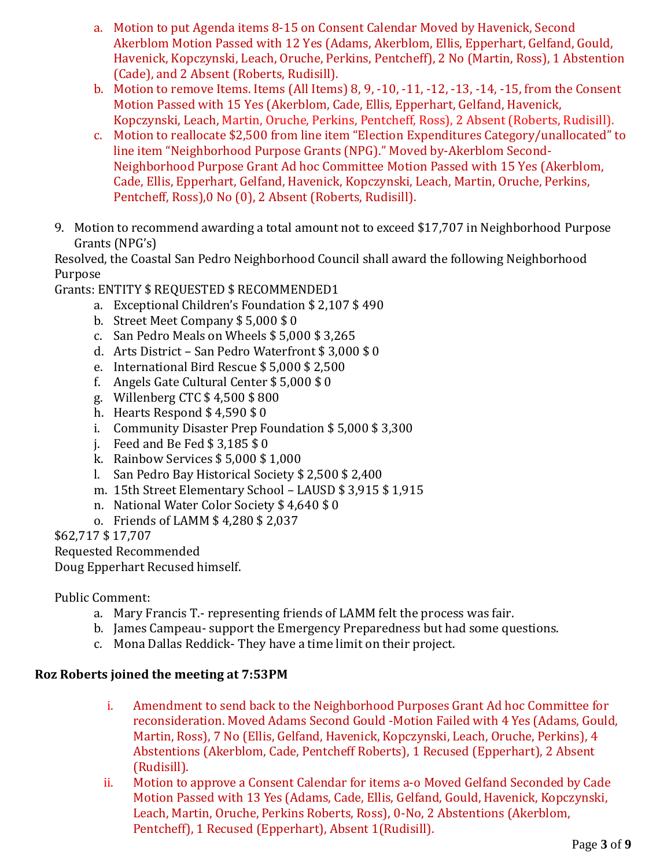- a. Motion to put Agenda items 8-15 on Consent Calendar Moved by Havenick, Second Akerblom Motion Passed with 12 Yes (Adams, Akerblom, Ellis, Epperhart, Gelfand, Gould, Havenick, Kopczynski, Leach, Oruche, Perkins, Pentcheff), 2 No (Martin, Ross), 1 Abstention (Cade), and 2 Absent (Roberts, Rudisill).
- b. Motion to remove Items. Items (All Items) 8, 9, -10, -11, -12, -13, -14, -15, from the Consent Motion Passed with 15 Yes (Akerblom, Cade, Ellis, Epperhart, Gelfand, Havenick, Kopczynski, Leach, Martin, Oruche, Perkins, Pentcheff, Ross), 2 Absent (Roberts, Rudisill).
- c. Motion to reallocate \$2,500 from line item "Election Expenditures Category/unallocated" to line item "Neighborhood Purpose Grants (NPG)." Moved by-Akerblom Second-Neighborhood Purpose Grant Ad hoc Committee Motion Passed with 15 Yes (Akerblom, Cade, Ellis, Epperhart, Gelfand, Havenick, Kopczynski, Leach, Martin, Oruche, Perkins, Pentcheff, Ross),0 No (0), 2 Absent (Roberts, Rudisill).
- 9. Motion to recommend awarding a total amount not to exceed \$17,707 in Neighborhood Purpose Grants (NPG's)

Resolved, the Coastal San Pedro Neighborhood Council shall award the following Neighborhood Purpose

Grants: ENTITY \$ REQUESTED \$ RECOMMENDED1

- a. Exceptional Children's Foundation \$ 2,107 \$ 490
- b. Street Meet Company \$ 5,000 \$ 0
- c. San Pedro Meals on Wheels \$ 5,000 \$ 3,265
- d. Arts District San Pedro Waterfront \$ 3,000 \$ 0
- e. International Bird Rescue \$ 5,000 \$ 2,500
- f. Angels Gate Cultural Center \$ 5,000 \$ 0
- g. Willenberg CTC \$ 4,500 \$ 800
- h. Hearts Respond \$ 4,590 \$ 0
- i. Community Disaster Prep Foundation \$ 5,000 \$ 3,300
- j. Feed and Be Fed \$ 3,185 \$ 0
- k. Rainbow Services \$ 5,000 \$ 1,000
- l. San Pedro Bay Historical Society \$ 2,500 \$ 2,400
- m. 15th Street Elementary School LAUSD \$ 3,915 \$ 1,915
- n. National Water Color Society \$ 4,640 \$ 0
- o. Friends of LAMM \$ 4,280 \$ 2,037

\$62,717 \$ 17,707

Requested Recommended

Doug Epperhart Recused himself.

Public Comment:

- a. Mary Francis T.- representing friends of LAMM felt the process was fair.
- b. James Campeau- support the Emergency Preparedness but had some questions.
- c. Mona Dallas Reddick- They have a time limit on their project.

## **Roz Roberts joined the meeting at 7:53PM**

- i. Amendment to send back to the Neighborhood Purposes Grant Ad hoc Committee for reconsideration. Moved Adams Second Gould -Motion Failed with 4 Yes (Adams, Gould, Martin, Ross), 7 No (Ellis, Gelfand, Havenick, Kopczynski, Leach, Oruche, Perkins), 4 Abstentions (Akerblom, Cade, Pentcheff Roberts), 1 Recused (Epperhart), 2 Absent (Rudisill).
- ii. Motion to approve a Consent Calendar for items a-o Moved Gelfand Seconded by Cade Motion Passed with 13 Yes (Adams, Cade, Ellis, Gelfand, Gould, Havenick, Kopczynski, Leach, Martin, Oruche, Perkins Roberts, Ross), 0-No, 2 Abstentions (Akerblom, Pentcheff), 1 Recused (Epperhart), Absent 1(Rudisill).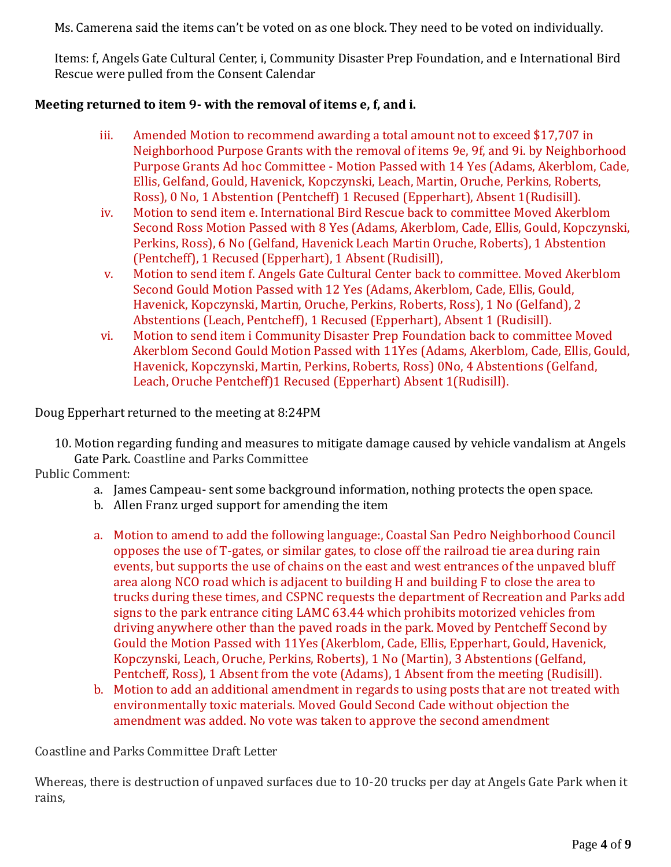Ms. Camerena said the items can't be voted on as one block. They need to be voted on individually.

Items: f, Angels Gate Cultural Center, i, Community Disaster Prep Foundation, and e International Bird Rescue were pulled from the Consent Calendar

#### **Meeting returned to item 9- with the removal of items e, f, and i.**

- iii. Amended Motion to recommend awarding a total amount not to exceed \$17,707 in Neighborhood Purpose Grants with the removal of items 9e, 9f, and 9i. by Neighborhood Purpose Grants Ad hoc Committee - Motion Passed with 14 Yes (Adams, Akerblom, Cade, Ellis, Gelfand, Gould, Havenick, Kopczynski, Leach, Martin, Oruche, Perkins, Roberts, Ross), 0 No, 1 Abstention (Pentcheff) 1 Recused (Epperhart), Absent 1(Rudisill).
- iv. Motion to send item e. International Bird Rescue back to committee Moved Akerblom Second Ross Motion Passed with 8 Yes (Adams, Akerblom, Cade, Ellis, Gould, Kopczynski, Perkins, Ross), 6 No (Gelfand, Havenick Leach Martin Oruche, Roberts), 1 Abstention (Pentcheff), 1 Recused (Epperhart), 1 Absent (Rudisill),
- v. Motion to send item f. Angels Gate Cultural Center back to committee. Moved Akerblom Second Gould Motion Passed with 12 Yes (Adams, Akerblom, Cade, Ellis, Gould, Havenick, Kopczynski, Martin, Oruche, Perkins, Roberts, Ross), 1 No (Gelfand), 2 Abstentions (Leach, Pentcheff), 1 Recused (Epperhart), Absent 1 (Rudisill).
- vi. Motion to send item i Community Disaster Prep Foundation back to committee Moved Akerblom Second Gould Motion Passed with 11Yes (Adams, Akerblom, Cade, Ellis, Gould, Havenick, Kopczynski, Martin, Perkins, Roberts, Ross) 0No, 4 Abstentions (Gelfand, Leach, Oruche Pentcheff)1 Recused (Epperhart) Absent 1(Rudisill).

Doug Epperhart returned to the meeting at 8:24PM

10. Motion regarding funding and measures to mitigate damage caused by vehicle vandalism at Angels Gate Park. Coastline and Parks Committee

Public Comment:

- a. James Campeau- sent some background information, nothing protects the open space.
- b. Allen Franz urged support for amending the item
- a. Motion to amend to add the following language:, Coastal San Pedro Neighborhood Council opposes the use of T-gates, or similar gates, to close off the railroad tie area during rain events, but supports the use of chains on the east and west entrances of the unpaved bluff area along NCO road which is adjacent to building H and building F to close the area to trucks during these times, and CSPNC requests the department of Recreation and Parks add signs to the park entrance citing LAMC 63.44 which prohibits motorized vehicles from driving anywhere other than the paved roads in the park. Moved by Pentcheff Second by Gould the Motion Passed with 11Yes (Akerblom, Cade, Ellis, Epperhart, Gould, Havenick, Kopczynski, Leach, Oruche, Perkins, Roberts), 1 No (Martin), 3 Abstentions (Gelfand, Pentcheff, Ross), 1 Absent from the vote (Adams), 1 Absent from the meeting (Rudisill).
- b. Motion to add an additional amendment in regards to using posts that are not treated with environmentally toxic materials. Moved Gould Second Cade without objection the amendment was added. No vote was taken to approve the second amendment

Coastline and Parks Committee Draft Letter

Whereas, there is destruction of unpaved surfaces due to 10-20 trucks per day at Angels Gate Park when it rains,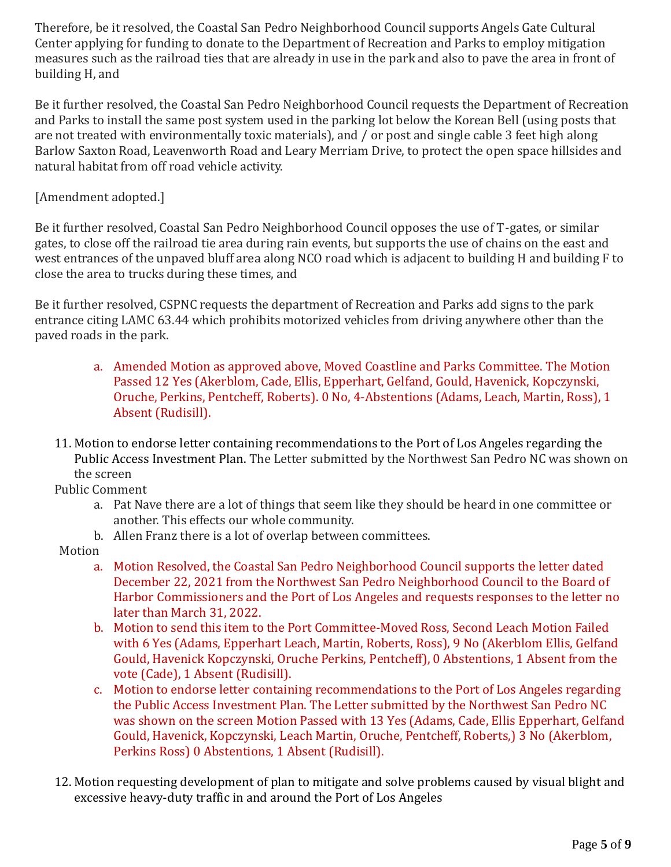Therefore, be it resolved, the Coastal San Pedro Neighborhood Council supports Angels Gate Cultural Center applying for funding to donate to the Department of Recreation and Parks to employ mitigation measures such as the railroad ties that are already in use in the park and also to pave the area in front of building H, and

Be it further resolved, the Coastal San Pedro Neighborhood Council requests the Department of Recreation and Parks to install the same post system used in the parking lot below the Korean Bell (using posts that are not treated with environmentally toxic materials), and / or post and single cable 3 feet high along Barlow Saxton Road, Leavenworth Road and Leary Merriam Drive, to protect the open space hillsides and natural habitat from off road vehicle activity.

## [Amendment adopted.]

Be it further resolved, Coastal San Pedro Neighborhood Council opposes the use of T-gates, or similar gates, to close off the railroad tie area during rain events, but supports the use of chains on the east and west entrances of the unpaved bluff area along NCO road which is adjacent to building H and building F to close the area to trucks during these times, and

Be it further resolved, CSPNC requests the department of Recreation and Parks add signs to the park entrance citing LAMC 63.44 which prohibits motorized vehicles from driving anywhere other than the paved roads in the park.

- a. Amended Motion as approved above, Moved Coastline and Parks Committee. The Motion Passed 12 Yes (Akerblom, Cade, Ellis, Epperhart, Gelfand, Gould, Havenick, Kopczynski, Oruche, Perkins, Pentcheff, Roberts). 0 No, 4-Abstentions (Adams, Leach, Martin, Ross), 1 Absent (Rudisill).
- 11. Motion to endorse letter containing recommendations to the Port of Los Angeles regarding the Public Access Investment Plan. The Letter submitted by the Northwest San Pedro NC was shown on the screen
- Public Comment
	- a. Pat Nave there are a lot of things that seem like they should be heard in one committee or another. This effects our whole community.
	- b. Allen Franz there is a lot of overlap between committees.

## Motion

- a. Motion Resolved, the Coastal San Pedro Neighborhood Council supports the letter dated December 22, 2021 from the Northwest San Pedro Neighborhood Council to the Board of Harbor Commissioners and the Port of Los Angeles and requests responses to the letter no later than March 31, 2022.
- b. Motion to send this item to the Port Committee-Moved Ross, Second Leach Motion Failed with 6 Yes (Adams, Epperhart Leach, Martin, Roberts, Ross), 9 No (Akerblom Ellis, Gelfand Gould, Havenick Kopczynski, Oruche Perkins, Pentcheff), 0 Abstentions, 1 Absent from the vote (Cade), 1 Absent (Rudisill).
- c. Motion to endorse letter containing recommendations to the Port of Los Angeles regarding the Public Access Investment Plan. The Letter submitted by the Northwest San Pedro NC was shown on the screen Motion Passed with 13 Yes (Adams, Cade, Ellis Epperhart, Gelfand Gould, Havenick, Kopczynski, Leach Martin, Oruche, Pentcheff, Roberts,) 3 No (Akerblom, Perkins Ross) 0 Abstentions, 1 Absent (Rudisill).
- 12. Motion requesting development of plan to mitigate and solve problems caused by visual blight and excessive heavy-duty traffic in and around the Port of Los Angeles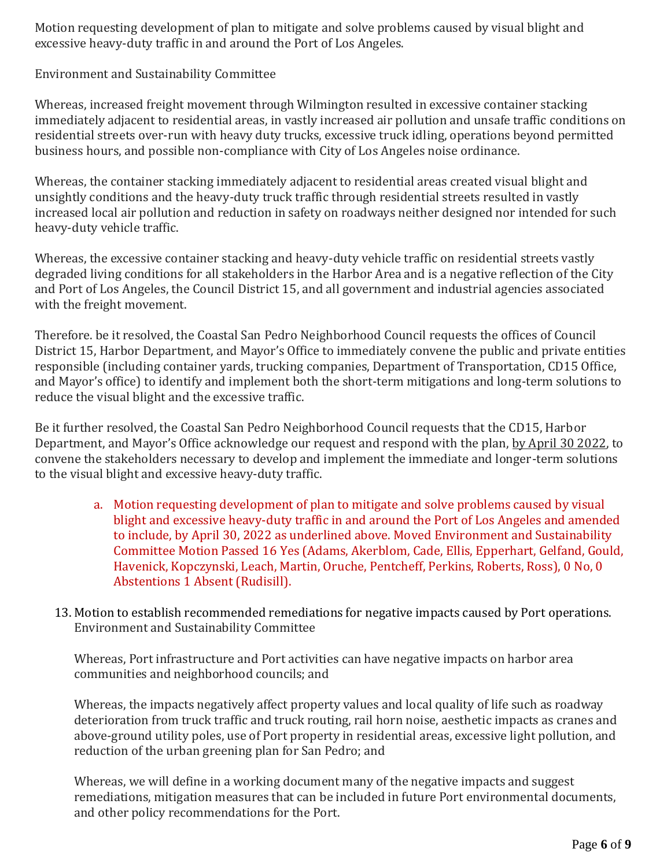Motion requesting development of plan to mitigate and solve problems caused by visual blight and excessive heavy-duty traffic in and around the Port of Los Angeles.

#### Environment and Sustainability Committee

Whereas, increased freight movement through Wilmington resulted in excessive container stacking immediately adjacent to residential areas, in vastly increased air pollution and unsafe traffic conditions on residential streets over-run with heavy duty trucks, excessive truck idling, operations beyond permitted business hours, and possible non-compliance with City of Los Angeles noise ordinance.

Whereas, the container stacking immediately adjacent to residential areas created visual blight and unsightly conditions and the heavy-duty truck traffic through residential streets resulted in vastly increased local air pollution and reduction in safety on roadways neither designed nor intended for such heavy-duty vehicle traffic.

Whereas, the excessive container stacking and heavy-duty vehicle traffic on residential streets vastly degraded living conditions for all stakeholders in the Harbor Area and is a negative reflection of the City and Port of Los Angeles, the Council District 15, and all government and industrial agencies associated with the freight movement.

Therefore. be it resolved, the Coastal San Pedro Neighborhood Council requests the offices of Council District 15, Harbor Department, and Mayor's Office to immediately convene the public and private entities responsible (including container yards, trucking companies, Department of Transportation, CD15 Office, and Mayor's office) to identify and implement both the short-term mitigations and long-term solutions to reduce the visual blight and the excessive traffic.

Be it further resolved, the Coastal San Pedro Neighborhood Council requests that the CD15, Harbor Department, and Mayor's Office acknowledge our request and respond with the plan, by April 30 2022, to convene the stakeholders necessary to develop and implement the immediate and longer-term solutions to the visual blight and excessive heavy-duty traffic.

- a. Motion requesting development of plan to mitigate and solve problems caused by visual blight and excessive heavy-duty traffic in and around the Port of Los Angeles and amended to include, by April 30, 2022 as underlined above. Moved Environment and Sustainability Committee Motion Passed 16 Yes (Adams, Akerblom, Cade, Ellis, Epperhart, Gelfand, Gould, Havenick, Kopczynski, Leach, Martin, Oruche, Pentcheff, Perkins, Roberts, Ross), 0 No, 0 Abstentions 1 Absent (Rudisill).
- 13. Motion to establish recommended remediations for negative impacts caused by Port operations. Environment and Sustainability Committee

Whereas, Port infrastructure and Port activities can have negative impacts on harbor area communities and neighborhood councils; and

Whereas, the impacts negatively affect property values and local quality of life such as roadway deterioration from truck traffic and truck routing, rail horn noise, aesthetic impacts as cranes and above-ground utility poles, use of Port property in residential areas, excessive light pollution, and reduction of the urban greening plan for San Pedro; and

Whereas, we will define in a working document many of the negative impacts and suggest remediations, mitigation measures that can be included in future Port environmental documents, and other policy recommendations for the Port.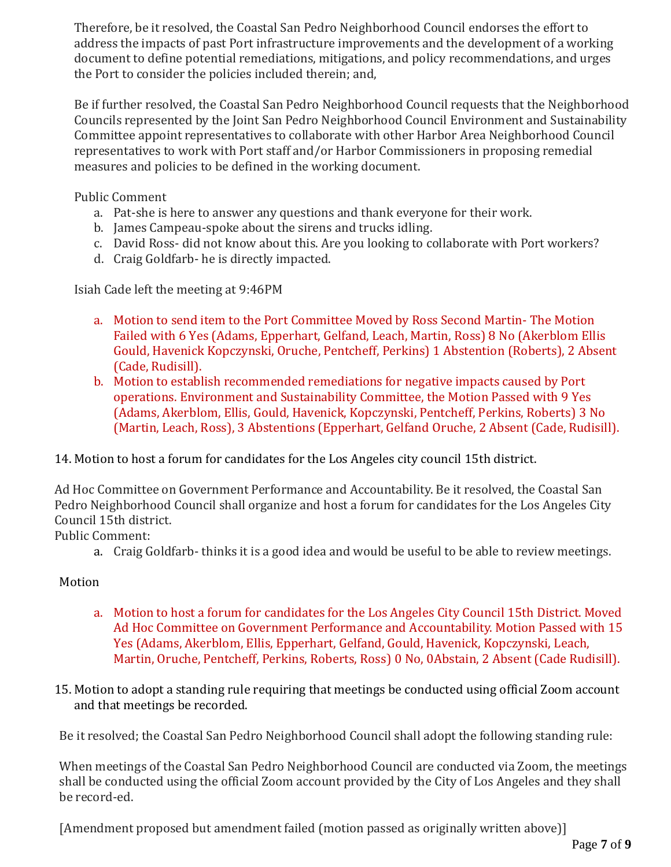Therefore, be it resolved, the Coastal San Pedro Neighborhood Council endorses the effort to address the impacts of past Port infrastructure improvements and the development of a working document to define potential remediations, mitigations, and policy recommendations, and urges the Port to consider the policies included therein; and,

Be if further resolved, the Coastal San Pedro Neighborhood Council requests that the Neighborhood Councils represented by the Joint San Pedro Neighborhood Council Environment and Sustainability Committee appoint representatives to collaborate with other Harbor Area Neighborhood Council representatives to work with Port staff and/or Harbor Commissioners in proposing remedial measures and policies to be defined in the working document.

Public Comment

- a. Pat-she is here to answer any questions and thank everyone for their work.
- b. James Campeau-spoke about the sirens and trucks idling.
- c. David Ross- did not know about this. Are you looking to collaborate with Port workers?
- d. Craig Goldfarb- he is directly impacted.

Isiah Cade left the meeting at 9:46PM

- a. Motion to send item to the Port Committee Moved by Ross Second Martin- The Motion Failed with 6 Yes (Adams, Epperhart, Gelfand, Leach, Martin, Ross) 8 No (Akerblom Ellis Gould, Havenick Kopczynski, Oruche, Pentcheff, Perkins) 1 Abstention (Roberts), 2 Absent (Cade, Rudisill).
- b. Motion to establish recommended remediations for negative impacts caused by Port operations. Environment and Sustainability Committee, the Motion Passed with 9 Yes (Adams, Akerblom, Ellis, Gould, Havenick, Kopczynski, Pentcheff, Perkins, Roberts) 3 No (Martin, Leach, Ross), 3 Abstentions (Epperhart, Gelfand Oruche, 2 Absent (Cade, Rudisill).

14. Motion to host a forum for candidates for the Los Angeles city council 15th district.

Ad Hoc Committee on Government Performance and Accountability. Be it resolved, the Coastal San Pedro Neighborhood Council shall organize and host a forum for candidates for the Los Angeles City Council 15th district.

Public Comment:

a. Craig Goldfarb- thinks it is a good idea and would be useful to be able to review meetings.

## Motion

- a. Motion to host a forum for candidates for the Los Angeles City Council 15th District. Moved Ad Hoc Committee on Government Performance and Accountability. Motion Passed with 15 Yes (Adams, Akerblom, Ellis, Epperhart, Gelfand, Gould, Havenick, Kopczynski, Leach, Martin, Oruche, Pentcheff, Perkins, Roberts, Ross) 0 No, 0Abstain, 2 Absent (Cade Rudisill).
- 15. Motion to adopt a standing rule requiring that meetings be conducted using official Zoom account and that meetings be recorded.

Be it resolved; the Coastal San Pedro Neighborhood Council shall adopt the following standing rule:

When meetings of the Coastal San Pedro Neighborhood Council are conducted via Zoom, the meetings shall be conducted using the official Zoom account provided by the City of Los Angeles and they shall be record-ed.

[Amendment proposed but amendment failed (motion passed as originally written above)]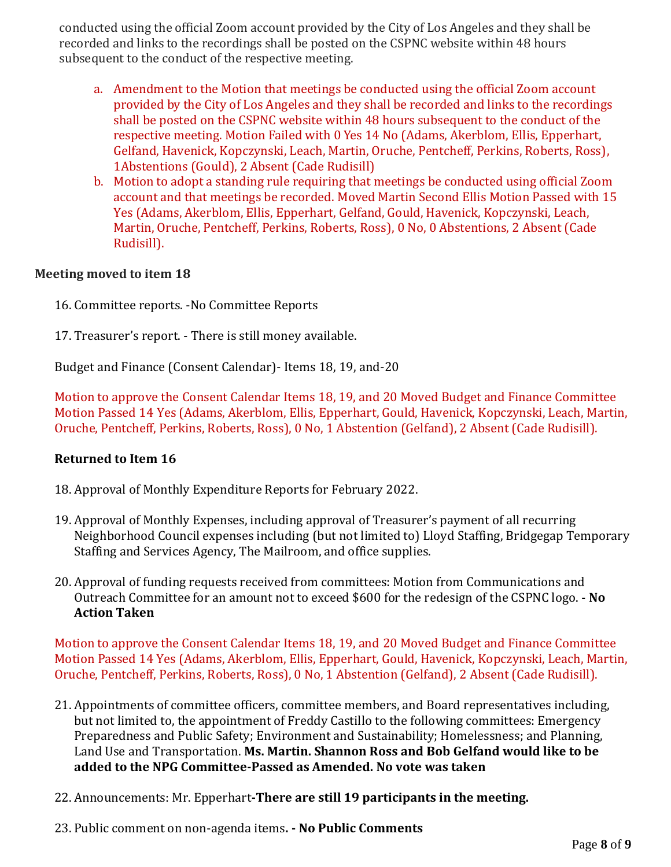conducted using the official Zoom account provided by the City of Los Angeles and they shall be recorded and links to the recordings shall be posted on the CSPNC website within 48 hours subsequent to the conduct of the respective meeting.

- a. Amendment to the Motion that meetings be conducted using the official Zoom account provided by the City of Los Angeles and they shall be recorded and links to the recordings shall be posted on the CSPNC website within 48 hours subsequent to the conduct of the respective meeting. Motion Failed with 0 Yes 14 No (Adams, Akerblom, Ellis, Epperhart, Gelfand, Havenick, Kopczynski, Leach, Martin, Oruche, Pentcheff, Perkins, Roberts, Ross), 1Abstentions (Gould), 2 Absent (Cade Rudisill)
- b. Motion to adopt a standing rule requiring that meetings be conducted using official Zoom account and that meetings be recorded. Moved Martin Second Ellis Motion Passed with 15 Yes (Adams, Akerblom, Ellis, Epperhart, Gelfand, Gould, Havenick, Kopczynski, Leach, Martin, Oruche, Pentcheff, Perkins, Roberts, Ross), 0 No, 0 Abstentions, 2 Absent (Cade Rudisill).

#### **Meeting moved to item 18**

- 16. Committee reports. -No Committee Reports
- 17. Treasurer's report. There is still money available.

Budget and Finance (Consent Calendar)- Items 18, 19, and-20

Motion to approve the Consent Calendar Items 18, 19, and 20 Moved Budget and Finance Committee Motion Passed 14 Yes (Adams, Akerblom, Ellis, Epperhart, Gould, Havenick, Kopczynski, Leach, Martin, Oruche, Pentcheff, Perkins, Roberts, Ross), 0 No, 1 Abstention (Gelfand), 2 Absent (Cade Rudisill).

#### **Returned to Item 16**

- 18. Approval of Monthly Expenditure Reports for February 2022.
- 19. Approval of Monthly Expenses, including approval of Treasurer's payment of all recurring Neighborhood Council expenses including (but not limited to) Lloyd Staffing, Bridgegap Temporary Staffing and Services Agency, The Mailroom, and office supplies.
- 20. Approval of funding requests received from committees: Motion from Communications and Outreach Committee for an amount not to exceed \$600 for the redesign of the CSPNC logo. - **No Action Taken**

Motion to approve the Consent Calendar Items 18, 19, and 20 Moved Budget and Finance Committee Motion Passed 14 Yes (Adams, Akerblom, Ellis, Epperhart, Gould, Havenick, Kopczynski, Leach, Martin, Oruche, Pentcheff, Perkins, Roberts, Ross), 0 No, 1 Abstention (Gelfand), 2 Absent (Cade Rudisill).

- 21. Appointments of committee officers, committee members, and Board representatives including, but not limited to, the appointment of Freddy Castillo to the following committees: Emergency Preparedness and Public Safety; Environment and Sustainability; Homelessness; and Planning, Land Use and Transportation. **Ms. Martin. Shannon Ross and Bob Gelfand would like to be added to the NPG Committee-Passed as Amended. No vote was taken**
- 22. Announcements: Mr. Epperhart**-There are still 19 participants in the meeting.**
- 23. Public comment on non-agenda items**. - No Public Comments**